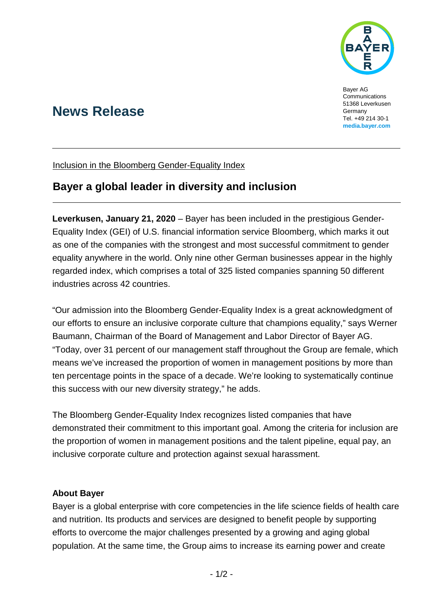

Bayer AG Communications 51368 Leverkusen Germany Tel. +49 214 30-1 **[media.bayer.com](http://media.bayer.de/)**

# **News Release**

Inclusion in the Bloomberg Gender-Equality Index

## **Bayer a global leader in diversity and inclusion**

**Leverkusen, January 21, 2020** – Bayer has been included in the prestigious Gender-Equality Index (GEI) of U.S. financial information service Bloomberg, which marks it out as one of the companies with the strongest and most successful commitment to gender equality anywhere in the world. Only nine other German businesses appear in the highly regarded index, which comprises a total of 325 listed companies spanning 50 different industries across 42 countries.

"Our admission into the Bloomberg Gender-Equality Index is a great acknowledgment of our efforts to ensure an inclusive corporate culture that champions equality," says Werner Baumann, Chairman of the Board of Management and Labor Director of Bayer AG. "Today, over 31 percent of our management staff throughout the Group are female, which means we've increased the proportion of women in management positions by more than ten percentage points in the space of a decade. We're looking to systematically continue this success with our new diversity strategy," he adds.

The Bloomberg Gender-Equality Index recognizes listed companies that have demonstrated their commitment to this important goal. Among the criteria for inclusion are the proportion of women in management positions and the talent pipeline, equal pay, an inclusive corporate culture and protection against sexual harassment.

#### **About Bayer**

Bayer is a global enterprise with core competencies in the life science fields of health care and nutrition. Its products and services are designed to benefit people by supporting efforts to overcome the major challenges presented by a growing and aging global population. At the same time, the Group aims to increase its earning power and create